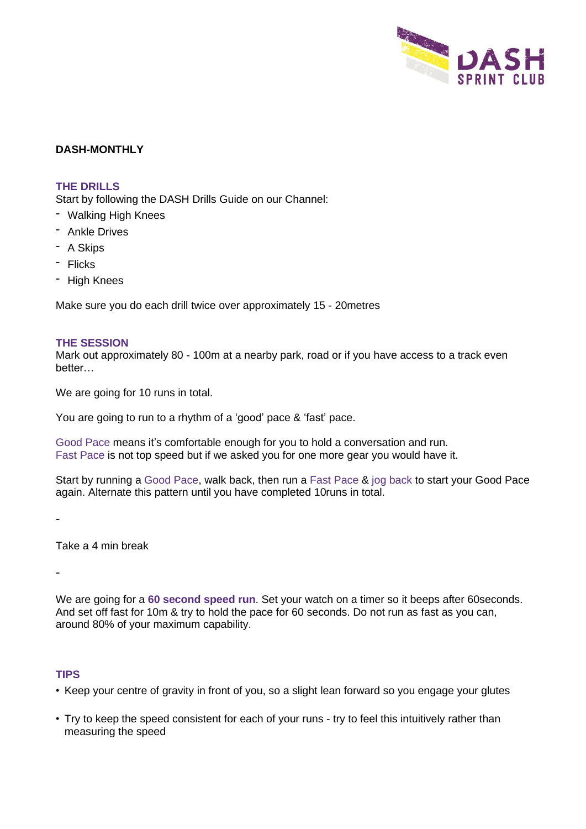

## **DASH-MONTHLY**

## **THE DRILLS**

Start by following the DASH Drills Guide on our Channel:

- Walking High Knees
- Ankle Drives
- A Skips
- Flicks
- High Knees

Make sure you do each drill twice over approximately 15 - 20metres

#### **THE SESSION**

Mark out approximately 80 - 100m at a nearby park, road or if you have access to a track even better…

We are going for 10 runs in total.

You are going to run to a rhythm of a 'good' pace & 'fast' pace.

Good Pace means it's comfortable enough for you to hold a conversation and run. Fast Pace is not top speed but if we asked you for one more gear you would have it.

Start by running a Good Pace, walk back, then run a Fast Pace & jog back to start your Good Pace again. Alternate this pattern until you have completed 10runs in total.

-

Take a 4 min break

-

We are going for a **60 second speed run**. Set your watch on a timer so it beeps after 60seconds. And set off fast for 10m & try to hold the pace for 60 seconds. Do not run as fast as you can, around 80% of your maximum capability.

### **TIPS**

- Keep your centre of gravity in front of you, so a slight lean forward so you engage your glutes
- Try to keep the speed consistent for each of your runs try to feel this intuitively rather than measuring the speed